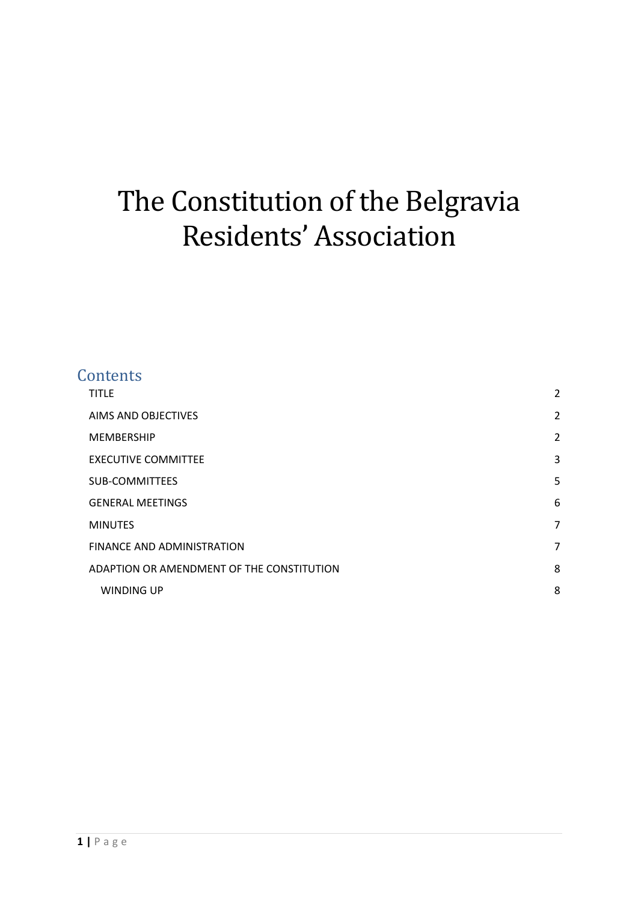# The Constitution of the Belgravia Residents' Association

| Contents                                  |                |
|-------------------------------------------|----------------|
| <b>TITLE</b>                              | $\overline{2}$ |
| AIMS AND OBJECTIVES                       | $\overline{2}$ |
| <b>MEMBERSHIP</b>                         | $\overline{a}$ |
| <b>EXECUTIVE COMMITTEE</b>                | 3              |
| <b>SUB-COMMITTEES</b>                     | 5              |
| <b>GENERAL MEETINGS</b>                   | 6              |
| <b>MINUTES</b>                            | 7              |
| FINANCE AND ADMINISTRATION                | 7              |
| ADAPTION OR AMENDMENT OF THE CONSTITUTION | 8              |
| <b>WINDING UP</b>                         | 8              |
|                                           |                |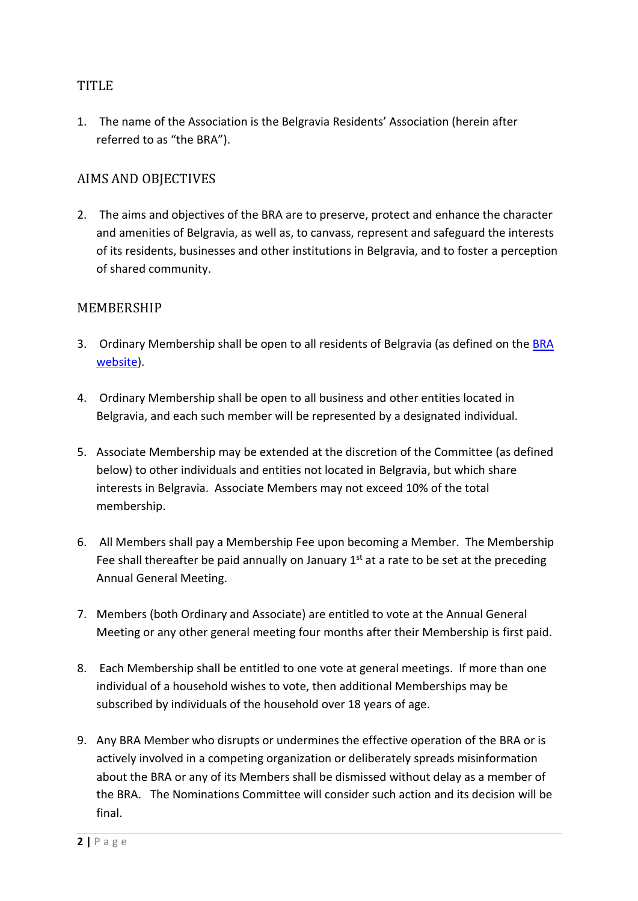# <span id="page-1-0"></span>**TITLE**

1. The name of the Association is the Belgravia Residents' Association (herein after referred to as "the BRA").

#### <span id="page-1-1"></span>AIMS AND OBJECTIVES

2. The aims and objectives of the BRA are to preserve, protect and enhance the character and amenities of Belgravia, as well as, to canvass, represent and safeguard the interests of its residents, businesses and other institutions in Belgravia, and to foster a perception of shared community.

#### <span id="page-1-2"></span>MEMBERSHIP

- 3. Ordinary Membership shall be open to all residents of Belgravia (as defined on the **BRA** [website\)](http://www.belgraviaresidents.org.uk/).
- 4. Ordinary Membership shall be open to all business and other entities located in Belgravia, and each such member will be represented by a designated individual.
- 5. Associate Membership may be extended at the discretion of the Committee (as defined below) to other individuals and entities not located in Belgravia, but which share interests in Belgravia. Associate Members may not exceed 10% of the total membership.
- 6. All Members shall pay a Membership Fee upon becoming a Member. The Membership Fee shall thereafter be paid annually on January  $1<sup>st</sup>$  at a rate to be set at the preceding Annual General Meeting.
- 7. Members (both Ordinary and Associate) are entitled to vote at the Annual General Meeting or any other general meeting four months after their Membership is first paid.
- 8. Each Membership shall be entitled to one vote at general meetings. If more than one individual of a household wishes to vote, then additional Memberships may be subscribed by individuals of the household over 18 years of age.
- 9. Any BRA Member who disrupts or undermines the effective operation of the BRA or is actively involved in a competing organization or deliberately spreads misinformation about the BRA or any of its Members shall be dismissed without delay as a member of the BRA. The Nominations Committee will consider such action and its decision will be final.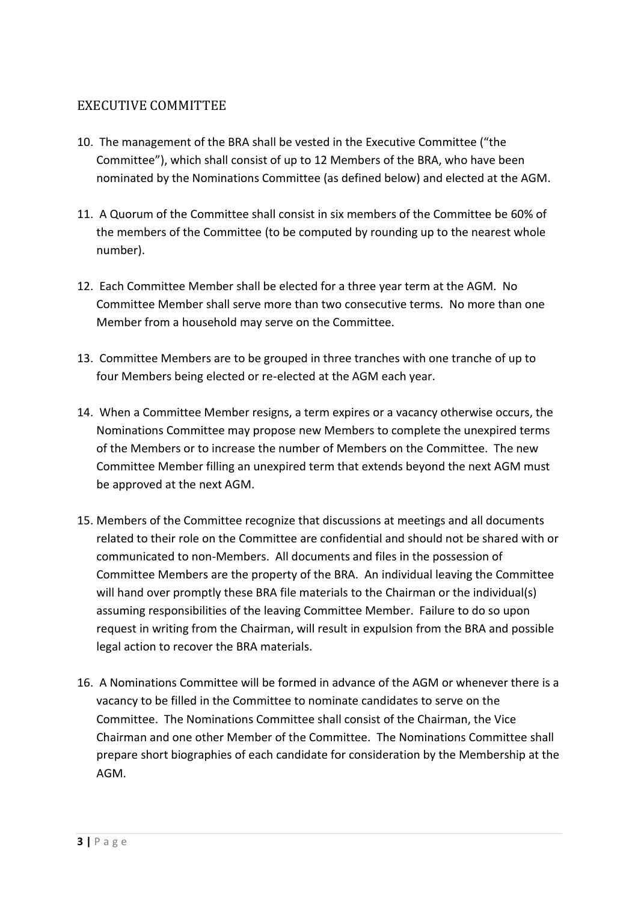## <span id="page-2-0"></span>EXECUTIVE COMMITTEE

- 10. The management of the BRA shall be vested in the Executive Committee ("the Committee"), which shall consist of up to 12 Members of the BRA, who have been nominated by the Nominations Committee (as defined below) and elected at the AGM.
- 11. A Quorum of the Committee shall consist in six members of the Committee be 60% of the members of the Committee (to be computed by rounding up to the nearest whole number).
- 12. Each Committee Member shall be elected for a three year term at the AGM. No Committee Member shall serve more than two consecutive terms. No more than one Member from a household may serve on the Committee.
- 13. Committee Members are to be grouped in three tranches with one tranche of up to four Members being elected or re-elected at the AGM each year.
- 14. When a Committee Member resigns, a term expires or a vacancy otherwise occurs, the Nominations Committee may propose new Members to complete the unexpired terms of the Members or to increase the number of Members on the Committee. The new Committee Member filling an unexpired term that extends beyond the next AGM must be approved at the next AGM.
- 15. Members of the Committee recognize that discussions at meetings and all documents related to their role on the Committee are confidential and should not be shared with or communicated to non-Members. All documents and files in the possession of Committee Members are the property of the BRA. An individual leaving the Committee will hand over promptly these BRA file materials to the Chairman or the individual(s) assuming responsibilities of the leaving Committee Member. Failure to do so upon request in writing from the Chairman, will result in expulsion from the BRA and possible legal action to recover the BRA materials.
- 16. A Nominations Committee will be formed in advance of the AGM or whenever there is a vacancy to be filled in the Committee to nominate candidates to serve on the Committee. The Nominations Committee shall consist of the Chairman, the Vice Chairman and one other Member of the Committee. The Nominations Committee shall prepare short biographies of each candidate for consideration by the Membership at the AGM.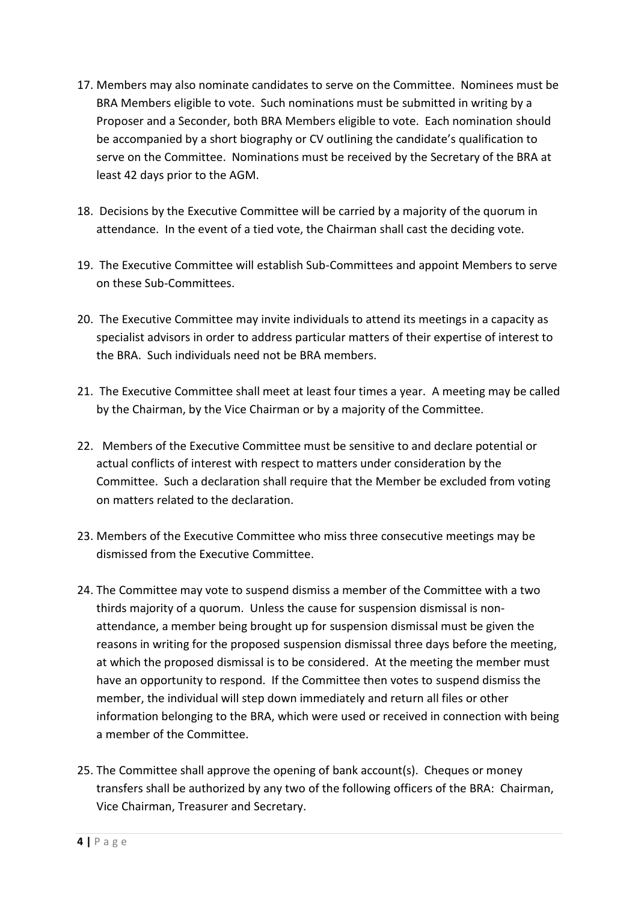- 17. Members may also nominate candidates to serve on the Committee. Nominees must be BRA Members eligible to vote. Such nominations must be submitted in writing by a Proposer and a Seconder, both BRA Members eligible to vote. Each nomination should be accompanied by a short biography or CV outlining the candidate's qualification to serve on the Committee. Nominations must be received by the Secretary of the BRA at least 42 days prior to the AGM.
- 18. Decisions by the Executive Committee will be carried by a majority of the quorum in attendance. In the event of a tied vote, the Chairman shall cast the deciding vote.
- 19. The Executive Committee will establish Sub-Committees and appoint Members to serve on these Sub-Committees.
- 20. The Executive Committee may invite individuals to attend its meetings in a capacity as specialist advisors in order to address particular matters of their expertise of interest to the BRA. Such individuals need not be BRA members.
- 21. The Executive Committee shall meet at least four times a year. A meeting may be called by the Chairman, by the Vice Chairman or by a majority of the Committee.
- 22. Members of the Executive Committee must be sensitive to and declare potential or actual conflicts of interest with respect to matters under consideration by the Committee. Such a declaration shall require that the Member be excluded from voting on matters related to the declaration.
- 23. Members of the Executive Committee who miss three consecutive meetings may be dismissed from the Executive Committee.
- 24. The Committee may vote to suspend dismiss a member of the Committee with a two thirds majority of a quorum. Unless the cause for suspension dismissal is nonattendance, a member being brought up for suspension dismissal must be given the reasons in writing for the proposed suspension dismissal three days before the meeting, at which the proposed dismissal is to be considered. At the meeting the member must have an opportunity to respond. If the Committee then votes to suspend dismiss the member, the individual will step down immediately and return all files or other information belonging to the BRA, which were used or received in connection with being a member of the Committee.
- 25. The Committee shall approve the opening of bank account(s). Cheques or money transfers shall be authorized by any two of the following officers of the BRA: Chairman, Vice Chairman, Treasurer and Secretary.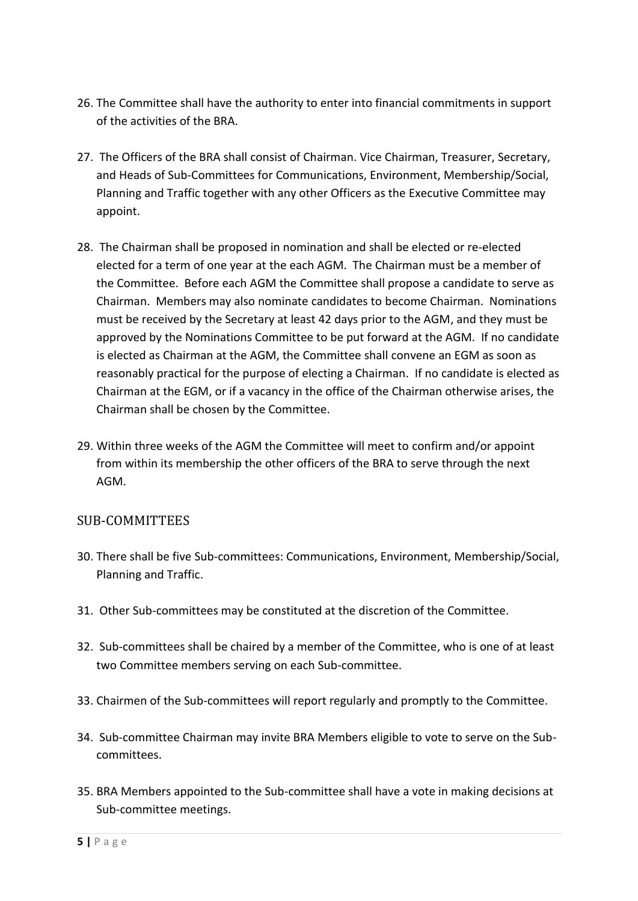- 26. The Committee shall have the authority to enter into financial commitments in support of the activities of the BRA.
- 27. The Officers of the BRA shall consist of Chairman. Vice Chairman, Treasurer, Secretary, and Heads of Sub-Committees for Communications, Environment, Membership/Social, Planning and Traffic together with any other Officers as the Executive Committee may appoint.
- 28. The Chairman shall be proposed in nomination and shall be elected or re-elected elected for a term of one year at the each AGM. The Chairman must be a member of the Committee. Before each AGM the Committee shall propose a candidate to serve as Chairman. Members may also nominate candidates to become Chairman. Nominations must be received by the Secretary at least 42 days prior to the AGM, and they must be approved by the Nominations Committee to be put forward at the AGM. If no candidate is elected as Chairman at the AGM, the Committee shall convene an EGM as soon as reasonably practical for the purpose of electing a Chairman. If no candidate is elected as Chairman at the EGM, or if a vacancy in the office of the Chairman otherwise arises, the Chairman shall be chosen by the Committee.
- 29. Within three weeks of the AGM the Committee will meet to confirm and/or appoint from within its membership the other officers of the BRA to serve through the next AGM.

### <span id="page-4-0"></span>SUB-COMMITTEES

- 30. There shall be five Sub-committees: Communications, Environment, Membership/Social, Planning and Traffic.
- 31. Other Sub-committees may be constituted at the discretion of the Committee.
- 32. Sub-committees shall be chaired by a member of the Committee, who is one of at least two Committee members serving on each Sub-committee.
- 33. Chairmen of the Sub-committees will report regularly and promptly to the Committee.
- 34. Sub-committee Chairman may invite BRA Members eligible to vote to serve on the Subcommittees.
- 35. BRA Members appointed to the Sub-committee shall have a vote in making decisions at Sub-committee meetings.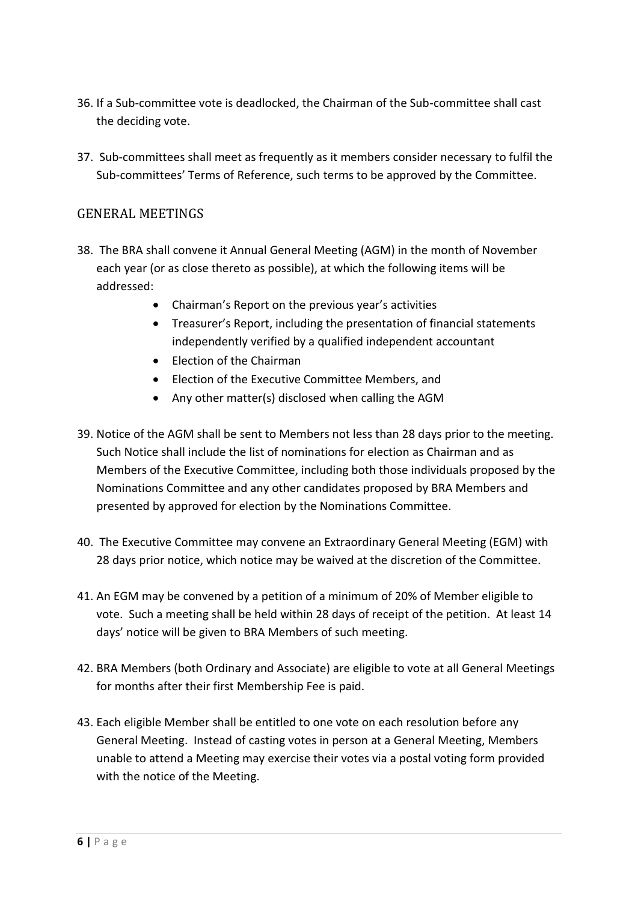- 36. If a Sub-committee vote is deadlocked, the Chairman of the Sub-committee shall cast the deciding vote.
- 37. Sub-committees shall meet as frequently as it members consider necessary to fulfil the Sub-committees' Terms of Reference, such terms to be approved by the Committee.

### <span id="page-5-0"></span>GENERAL MEETINGS

- 38. The BRA shall convene it Annual General Meeting (AGM) in the month of November each year (or as close thereto as possible), at which the following items will be addressed:
	- Chairman's Report on the previous year's activities
	- Treasurer's Report, including the presentation of financial statements independently verified by a qualified independent accountant
	- Flection of the Chairman
	- Election of the Executive Committee Members, and
	- Any other matter(s) disclosed when calling the AGM
- 39. Notice of the AGM shall be sent to Members not less than 28 days prior to the meeting. Such Notice shall include the list of nominations for election as Chairman and as Members of the Executive Committee, including both those individuals proposed by the Nominations Committee and any other candidates proposed by BRA Members and presented by approved for election by the Nominations Committee.
- 40. The Executive Committee may convene an Extraordinary General Meeting (EGM) with 28 days prior notice, which notice may be waived at the discretion of the Committee.
- 41. An EGM may be convened by a petition of a minimum of 20% of Member eligible to vote. Such a meeting shall be held within 28 days of receipt of the petition. At least 14 days' notice will be given to BRA Members of such meeting.
- 42. BRA Members (both Ordinary and Associate) are eligible to vote at all General Meetings for months after their first Membership Fee is paid.
- 43. Each eligible Member shall be entitled to one vote on each resolution before any General Meeting. Instead of casting votes in person at a General Meeting, Members unable to attend a Meeting may exercise their votes via a postal voting form provided with the notice of the Meeting.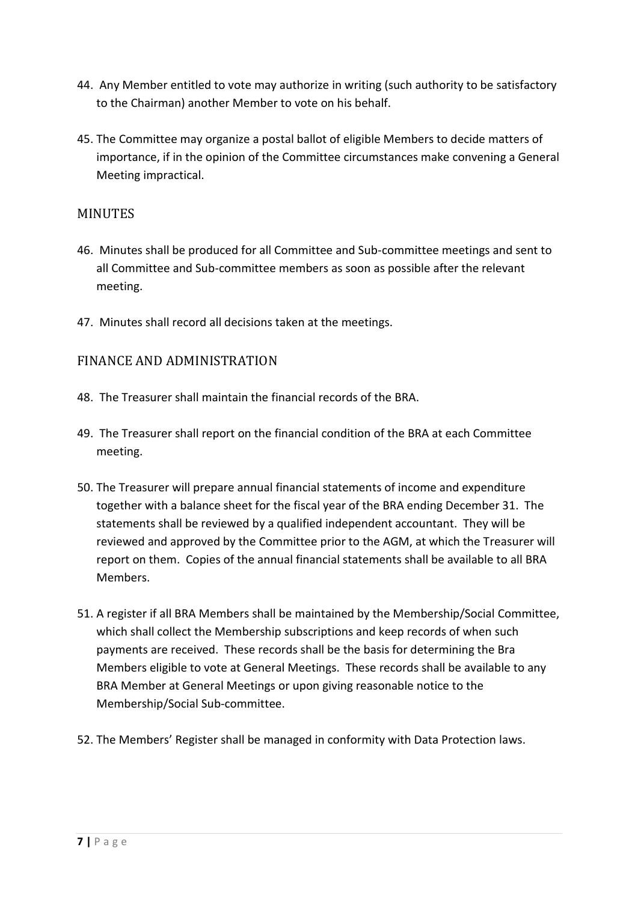- 44. Any Member entitled to vote may authorize in writing (such authority to be satisfactory to the Chairman) another Member to vote on his behalf.
- 45. The Committee may organize a postal ballot of eligible Members to decide matters of importance, if in the opinion of the Committee circumstances make convening a General Meeting impractical.

### <span id="page-6-0"></span>MINUTES

- 46. Minutes shall be produced for all Committee and Sub-committee meetings and sent to all Committee and Sub-committee members as soon as possible after the relevant meeting.
- 47. Minutes shall record all decisions taken at the meetings.

#### <span id="page-6-1"></span>FINANCE AND ADMINISTRATION

- 48. The Treasurer shall maintain the financial records of the BRA.
- 49. The Treasurer shall report on the financial condition of the BRA at each Committee meeting.
- 50. The Treasurer will prepare annual financial statements of income and expenditure together with a balance sheet for the fiscal year of the BRA ending December 31. The statements shall be reviewed by a qualified independent accountant. They will be reviewed and approved by the Committee prior to the AGM, at which the Treasurer will report on them. Copies of the annual financial statements shall be available to all BRA Members.
- 51. A register if all BRA Members shall be maintained by the Membership/Social Committee, which shall collect the Membership subscriptions and keep records of when such payments are received. These records shall be the basis for determining the Bra Members eligible to vote at General Meetings. These records shall be available to any BRA Member at General Meetings or upon giving reasonable notice to the Membership/Social Sub-committee.
- 52. The Members' Register shall be managed in conformity with Data Protection laws.